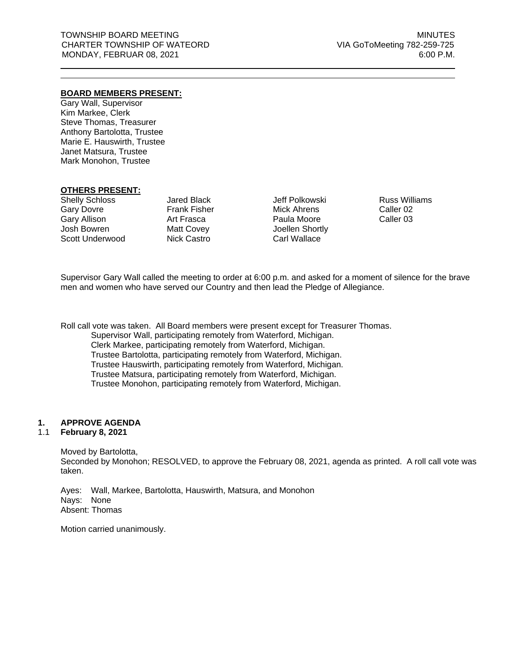# **BOARD MEMBERS PRESENT:**

Gary Wall, Supervisor Kim Markee, Clerk Steve Thomas, Treasurer Anthony Bartolotta, Trustee Marie E. Hauswirth, Trustee Janet Matsura, Trustee Mark Monohon, Trustee

#### **OTHERS PRESENT:**

Shelly Schloss Gary Dovre Gary Allison Josh Bowren Scott Underwood

Jared Black Frank Fisher Art Frasca Matt Covey Nick Castro

Jeff Polkowski Mick Ahrens Paula Moore Joellen Shortly Carl Wallace

Russ Williams Caller 02 Caller 03

Supervisor Gary Wall called the meeting to order at 6:00 p.m. and asked for a moment of silence for the brave men and women who have served our Country and then lead the Pledge of Allegiance.

Roll call vote was taken. All Board members were present except for Treasurer Thomas. Supervisor Wall, participating remotely from Waterford, Michigan. Clerk Markee, participating remotely from Waterford, Michigan. Trustee Bartolotta, participating remotely from Waterford, Michigan. Trustee Hauswirth, participating remotely from Waterford, Michigan. Trustee Matsura, participating remotely from Waterford, Michigan. Trustee Monohon, participating remotely from Waterford, Michigan.

# **1. APPROVE AGENDA**

#### 1.1 **February 8, 2021**

Moved by Bartolotta,

Seconded by Monohon; RESOLVED, to approve the February 08, 2021, agenda as printed. A roll call vote was taken.

Ayes: Wall, Markee, Bartolotta, Hauswirth, Matsura, and Monohon Nays: None Absent: Thomas

Motion carried unanimously.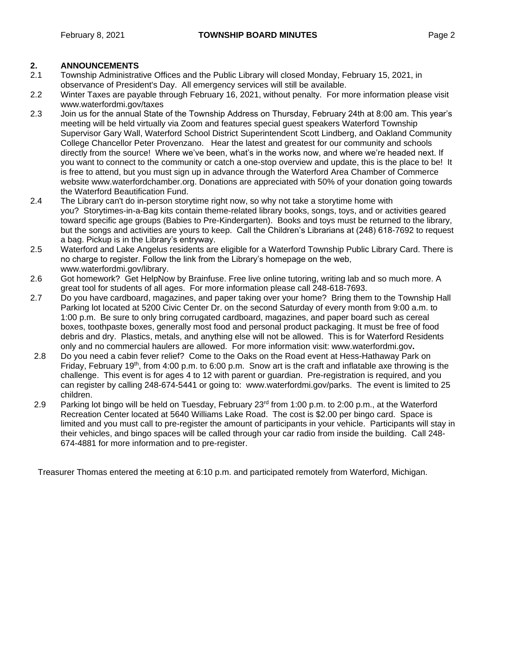- 2.1 Township Administrative Offices and the Public Library will closed Monday, February 15, 2021, in observance of President's Day. All emergency services will still be available.
- 2.2 Winter Taxes are payable through February 16, 2021, without penalty. For more information please visit [www.waterfordmi.gov/taxes](http://www.waterfordmi.gov/taxes)
- 2.3 Join us for the annual State of the Township Address on Thursday, February 24th at 8:00 am. This year's meeting will be held virtually via Zoom and features special guest speakers Waterford Township Supervisor Gary Wall, Waterford School District Superintendent Scott Lindberg, and Oakland Community College Chancellor Peter Provenzano. Hear the latest and greatest for our community and schools directly from the source! Where we've been, what's in the works now, and where we're headed next. If you want to connect to the community or catch a one-stop overview and update, this is the place to be! It is free to attend, but you must sign up in advance through the Waterford Area Chamber of Commerce website www.waterfordchamber.org. Donations are appreciated with 50% of your donation going towards the Waterford Beautification Fund.
- 2.4 The Library can't do in-person storytime right now, so why not take a storytime home with you? Storytimes-in-a-Bag kits contain theme-related library books, songs, toys, and or activities geared toward specific age groups (Babies to Pre-Kindergarten). Books and toys must be returned to the library, but the songs and activities are yours to keep. Call the Children's Librarians at (248) 618-7692 to request a bag. Pickup is in the Library's entryway.
- 2.5 Waterford and Lake Angelus residents are eligible for a Waterford Township Public Library Card. There is no charge to register. Follow the link from the Library's homepage on the web, www.waterfordmi.gov/library.
- 2.6 Got homework? Get HelpNow by Brainfuse. Free live online tutoring, writing lab and so much more. A great tool for students of all ages. For more information please call 248-618-7693.
- 2.7 Do you have cardboard, magazines, and paper taking over your home? Bring them to the Township Hall Parking lot located at 5200 Civic Center Dr. on the second Saturday of every month from 9:00 a.m. to 1:00 p.m. Be sure to only bring corrugated cardboard, magazines, and paper board such as cereal boxes, toothpaste boxes, generally most food and personal product packaging. It must be free of food debris and dry. Plastics, metals, and anything else will not be allowed. This is for Waterford Residents only and no commercial haulers are allowed. For more information visit: [www.waterfordmi.gov](http://www.waterfordmi.gov/)**.**
- 2.8 Do you need a cabin fever relief? Come to the Oaks on the Road event at Hess-Hathaway Park on Friday, February 19<sup>th</sup>, from 4:00 p.m. to 6:00 p.m. Snow art is the craft and inflatable axe throwing is the challenge. This event is for ages 4 to 12 with parent or guardian. Pre-registration is required, and you can register by calling 248-674-5441 or going to: [www.waterfordmi.gov/parks.](http://www.waterfordmi.gov/parks) The event is limited to 25 children.
- 2.9 Parking lot bingo will be held on Tuesday, February 23<sup>rd</sup> from 1:00 p.m. to 2:00 p.m., at the Waterford Recreation Center located at 5640 Williams Lake Road. The cost is \$2.00 per bingo card. Space is limited and you must call to pre-register the amount of participants in your vehicle. Participants will stay in their vehicles, and bingo spaces will be called through your car radio from inside the building. Call 248- 674-4881 for more information and to pre-register.

Treasurer Thomas entered the meeting at 6:10 p.m. and participated remotely from Waterford, Michigan.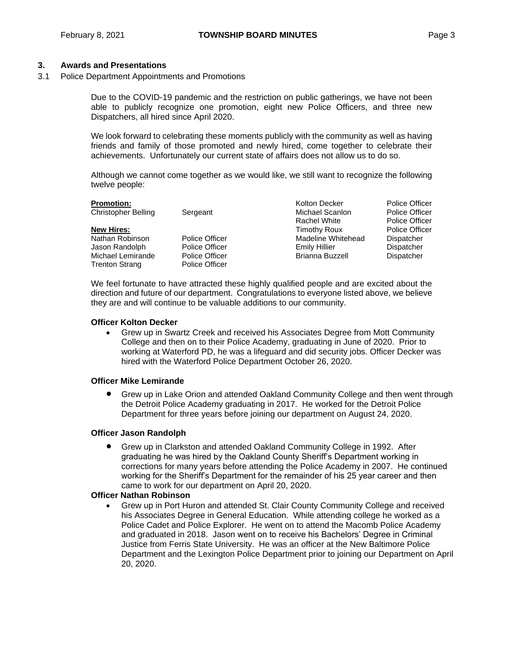# **3. Awards and Presentations**

3.1 Police Department Appointments and Promotions

Due to the COVID-19 pandemic and the restriction on public gatherings, we have not been able to publicly recognize one promotion, eight new Police Officers, and three new Dispatchers, all hired since April 2020.

We look forward to celebrating these moments publicly with the community as well as having friends and family of those promoted and newly hired, come together to celebrate their achievements. Unfortunately our current state of affairs does not allow us to do so.

Although we cannot come together as we would like, we still want to recognize the following twelve people:

|                | Kolton Decker          | <b>Police Officer</b> |
|----------------|------------------------|-----------------------|
| Sergeant       | Michael Scanlon        | <b>Police Officer</b> |
|                | <b>Rachel White</b>    | <b>Police Officer</b> |
|                | Timothy Roux           | <b>Police Officer</b> |
| Police Officer | Madeline Whitehead     | Dispatcher            |
| Police Officer | <b>Emily Hillier</b>   | Dispatcher            |
| Police Officer | <b>Brianna Buzzell</b> | Dispatcher            |
| Police Officer |                        |                       |
|                |                        |                       |

We feel fortunate to have attracted these highly qualified people and are excited about the direction and future of our department. Congratulations to everyone listed above, we believe they are and will continue to be valuable additions to our community.

#### **Officer Kolton Decker**

 Grew up in Swartz Creek and received his Associates Degree from Mott Community College and then on to their Police Academy, graduating in June of 2020. Prior to working at Waterford PD, he was a lifeguard and did security jobs. Officer Decker was hired with the Waterford Police Department October 26, 2020.

# **Officer Mike Lemirande**

 Grew up in Lake Orion and attended Oakland Community College and then went through the Detroit Police Academy graduating in 2017. He worked for the Detroit Police Department for three years before joining our department on August 24, 2020.

# **Officer Jason Randolph**

 Grew up in Clarkston and attended Oakland Community College in 1992. After graduating he was hired by the Oakland County Sheriff's Department working in corrections for many years before attending the Police Academy in 2007. He continued working for the Sheriff's Department for the remainder of his 25 year career and then came to work for our department on April 20, 2020.

#### **Officer Nathan Robinson**

 Grew up in Port Huron and attended St. Clair County Community College and received his Associates Degree in General Education. While attending college he worked as a Police Cadet and Police Explorer. He went on to attend the Macomb Police Academy and graduated in 2018. Jason went on to receive his Bachelors' Degree in Criminal Justice from Ferris State University. He was an officer at the New Baltimore Police Department and the Lexington Police Department prior to joining our Department on April 20, 2020.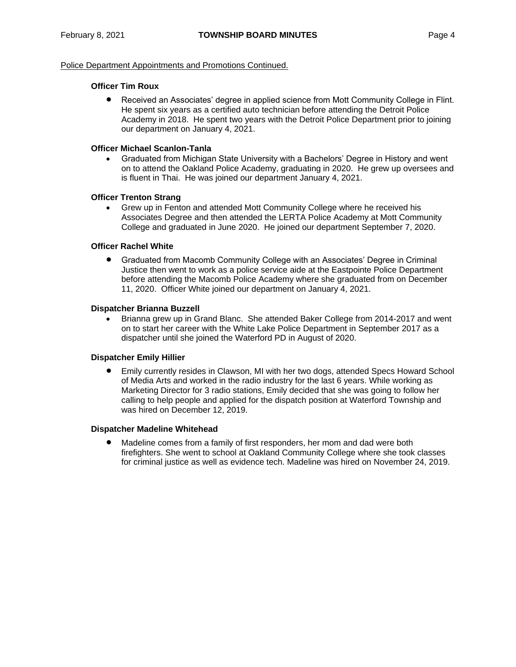## Police Department Appointments and Promotions Continued.

# **Officer Tim Roux**

 Received an Associates' degree in applied science from Mott Community College in Flint. He spent six years as a certified auto technician before attending the Detroit Police Academy in 2018. He spent two years with the Detroit Police Department prior to joining our department on January 4, 2021.

# **Officer Michael Scanlon-Tanla**

 Graduated from Michigan State University with a Bachelors' Degree in History and went on to attend the Oakland Police Academy, graduating in 2020. He grew up oversees and is fluent in Thai. He was joined our department January 4, 2021.

# **Officer Trenton Strang**

 Grew up in Fenton and attended Mott Community College where he received his Associates Degree and then attended the LERTA Police Academy at Mott Community College and graduated in June 2020. He joined our department September 7, 2020.

# **Officer Rachel White**

 Graduated from Macomb Community College with an Associates' Degree in Criminal Justice then went to work as a police service aide at the Eastpointe Police Department before attending the Macomb Police Academy where she graduated from on December 11, 2020. Officer White joined our department on January 4, 2021.

#### **Dispatcher Brianna Buzzell**

 Brianna grew up in Grand Blanc. She attended Baker College from 2014-2017 and went on to start her career with the White Lake Police Department in September 2017 as a dispatcher until she joined the Waterford PD in August of 2020.

#### **Dispatcher Emily Hillier**

 Emily currently resides in Clawson, MI with her two dogs, attended Specs Howard School of Media Arts and worked in the radio industry for the last 6 years. While working as Marketing Director for 3 radio stations, Emily decided that she was going to follow her calling to help people and applied for the dispatch position at Waterford Township and was hired on December 12, 2019.

#### **Dispatcher Madeline Whitehead**

 Madeline comes from a family of first responders, her mom and dad were both firefighters. She went to school at Oakland Community College where she took classes for criminal justice as well as evidence tech. Madeline was hired on November 24, 2019.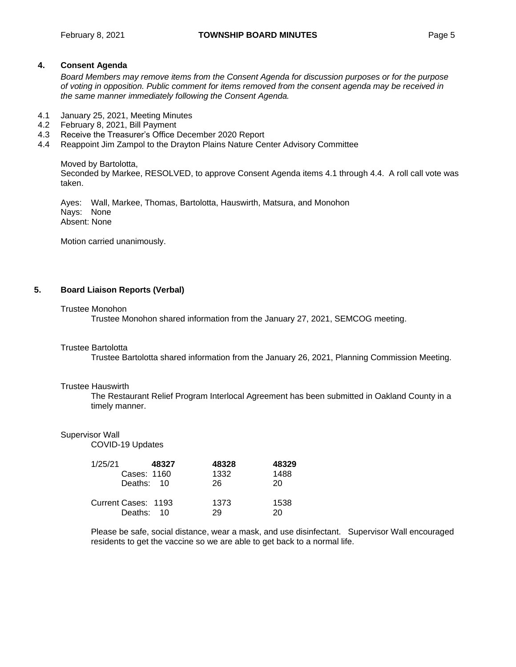# **4. Consent Agenda**

*Board Members may remove items from the Consent Agenda for discussion purposes or for the purpose of voting in opposition. Public comment for items removed from the consent agenda may be received in the same manner immediately following the Consent Agenda.*

- 4.1 January 25, 2021, Meeting Minutes
- 4.2 February 8, 2021, Bill Payment
- 4.3 Receive the Treasurer's Office December 2020 Report
- 4.4 Reappoint Jim Zampol to the Drayton Plains Nature Center Advisory Committee

Moved by Bartolotta, Seconded by Markee, RESOLVED, to approve Consent Agenda items 4.1 through 4.4. A roll call vote was taken.

Ayes: Wall, Markee, Thomas, Bartolotta, Hauswirth, Matsura, and Monohon Nays: None Absent: None

Motion carried unanimously.

# **5. Board Liaison Reports (Verbal)**

#### Trustee Monohon

Trustee Monohon shared information from the January 27, 2021, SEMCOG meeting.

#### Trustee Bartolotta

Trustee Bartolotta shared information from the January 26, 2021, Planning Commission Meeting.

#### Trustee Hauswirth

The Restaurant Relief Program Interlocal Agreement has been submitted in Oakland County in a timely manner.

#### Supervisor Wall

COVID-19 Updates

| 1/25/21 |                     | 48327 | 48328 | 48329 |
|---------|---------------------|-------|-------|-------|
|         | Cases: 1160         |       | 1332  | 1488  |
|         | Deaths: 10          |       | 26.   | 20    |
|         | Current Cases: 1193 |       | 1373  | 1538  |
|         | Deaths: 10          |       | 29    | 20    |

Please be safe, social distance, wear a mask, and use disinfectant. Supervisor Wall encouraged residents to get the vaccine so we are able to get back to a normal life.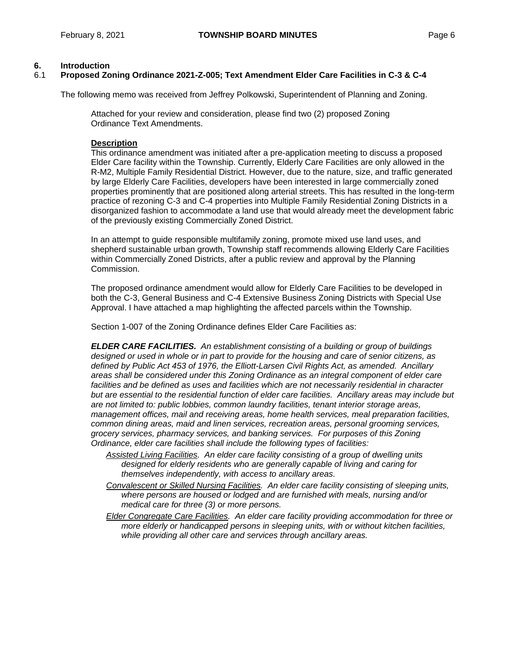# **6. Introduction**

# 6.1 **Proposed Zoning Ordinance 2021-Z-005; Text Amendment Elder Care Facilities in C-3 & C-4**

The following memo was received from Jeffrey Polkowski, Superintendent of Planning and Zoning.

Attached for your review and consideration, please find two (2) proposed Zoning Ordinance Text Amendments.

# **Description**

This ordinance amendment was initiated after a pre-application meeting to discuss a proposed Elder Care facility within the Township. Currently, Elderly Care Facilities are only allowed in the R-M2, Multiple Family Residential District. However, due to the nature, size, and traffic generated by large Elderly Care Facilities, developers have been interested in large commercially zoned properties prominently that are positioned along arterial streets. This has resulted in the long-term practice of rezoning C-3 and C-4 properties into Multiple Family Residential Zoning Districts in a disorganized fashion to accommodate a land use that would already meet the development fabric of the previously existing Commercially Zoned District.

In an attempt to guide responsible multifamily zoning, promote mixed use land uses, and shepherd sustainable urban growth, Township staff recommends allowing Elderly Care Facilities within Commercially Zoned Districts, after a public review and approval by the Planning Commission.

The proposed ordinance amendment would allow for Elderly Care Facilities to be developed in both the C-3, General Business and C-4 Extensive Business Zoning Districts with Special Use Approval. I have attached a map highlighting the affected parcels within the Township.

Section 1-007 of the Zoning Ordinance defines Elder Care Facilities as:

*ELDER CARE FACILITIES. An establishment consisting of a building or group of buildings designed or used in whole or in part to provide for the housing and care of senior citizens, as defined by Public Act 453 of 1976, the Elliott-Larsen Civil Rights Act, as amended. Ancillary areas shall be considered under this Zoning Ordinance as an integral component of elder care*  facilities and be defined as uses and facilities which are not necessarily residential in character *but are essential to the residential function of elder care facilities. Ancillary areas may include but are not limited to: public lobbies, common laundry facilities, tenant interior storage areas, management offices, mail and receiving areas, home health services, meal preparation facilities, common dining areas, maid and linen services, recreation areas, personal grooming services, grocery services, pharmacy services, and banking services. For purposes of this Zoning Ordinance, elder care facilities shall include the following types of facilities:*

- *Assisted Living Facilities. An elder care facility consisting of a group of dwelling units designed for elderly residents who are generally capable of living and caring for themselves independently, with access to ancillary areas.*
- *Convalescent or Skilled Nursing Facilities. An elder care facility consisting of sleeping units, where persons are housed or lodged and are furnished with meals, nursing and/or medical care for three (3) or more persons.*
- *Elder Congregate Care Facilities. An elder care facility providing accommodation for three or more elderly or handicapped persons in sleeping units, with or without kitchen facilities, while providing all other care and services through ancillary areas.*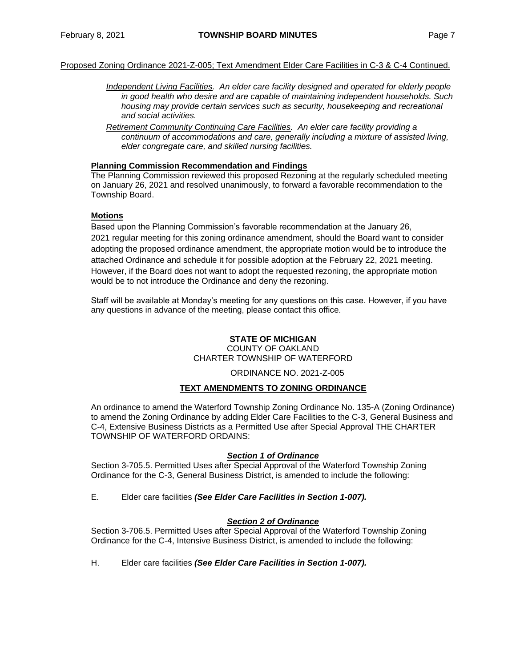# Proposed Zoning Ordinance 2021-Z-005; Text Amendment Elder Care Facilities in C-3 & C-4 Continued.

- *Independent Living Facilities. An elder care facility designed and operated for elderly people in good health who desire and are capable of maintaining independent households. Such housing may provide certain services such as security, housekeeping and recreational and social activities.*
- *Retirement Community Continuing Care Facilities. An elder care facility providing a continuum of accommodations and care, generally including a mixture of assisted living, elder congregate care, and skilled nursing facilities.*

#### **Planning Commission Recommendation and Findings**

The Planning Commission reviewed this proposed Rezoning at the regularly scheduled meeting on January 26, 2021 and resolved unanimously, to forward a favorable recommendation to the Township Board.

# **Motions**

Based upon the Planning Commission's favorable recommendation at the January 26, 2021 regular meeting for this zoning ordinance amendment, should the Board want to consider adopting the proposed ordinance amendment, the appropriate motion would be to introduce the attached Ordinance and schedule it for possible adoption at the February 22, 2021 meeting. However, if the Board does not want to adopt the requested rezoning, the appropriate motion would be to not introduce the Ordinance and deny the rezoning.

Staff will be available at Monday's meeting for any questions on this case. However, if you have any questions in advance of the meeting, please contact this office.

# **STATE OF MICHIGAN**

COUNTY OF OAKLAND CHARTER TOWNSHIP OF WATERFORD

#### ORDINANCE NO. 2021-Z-005

# **TEXT AMENDMENTS TO ZONING ORDINANCE**

An ordinance to amend the Waterford Township Zoning Ordinance No. 135-A (Zoning Ordinance) to amend the Zoning Ordinance by adding Elder Care Facilities to the C-3, General Business and C-4, Extensive Business Districts as a Permitted Use after Special Approval THE CHARTER TOWNSHIP OF WATERFORD ORDAINS:

#### *Section 1 of Ordinance*

Section 3-705.5. Permitted Uses after Special Approval of the Waterford Township Zoning Ordinance for the C-3, General Business District, is amended to include the following:

E. Elder care facilities *(See Elder Care Facilities in Section 1-007).*

#### *Section 2 of Ordinance*

Section 3-706.5. Permitted Uses after Special Approval of the Waterford Township Zoning Ordinance for the C-4, Intensive Business District, is amended to include the following:

H. Elder care facilities *(See Elder Care Facilities in Section 1-007).*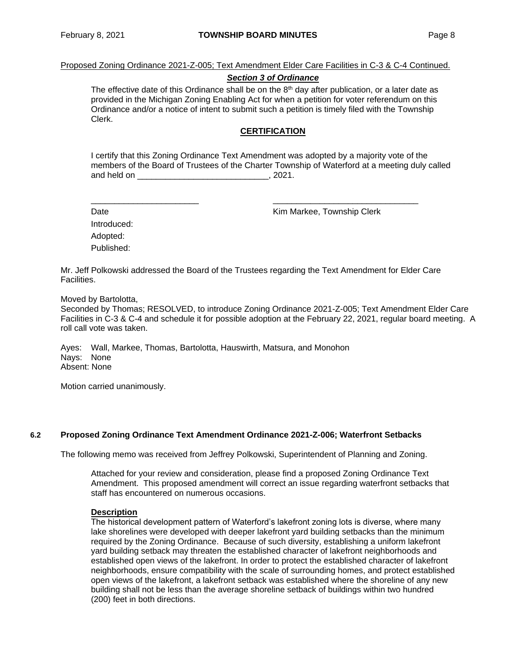Proposed Zoning Ordinance 2021-Z-005; Text Amendment Elder Care Facilities in C-3 & C-4 Continued.

#### *Section 3 of Ordinance*

The effective date of this Ordinance shall be on the  $8<sup>th</sup>$  day after publication, or a later date as provided in the Michigan Zoning Enabling Act for when a petition for voter referendum on this Ordinance and/or a notice of intent to submit such a petition is timely filed with the Township Clerk.

# **CERTIFICATION**

I certify that this Zoning Ordinance Text Amendment was adopted by a majority vote of the members of the Board of Trustees of the Charter Township of Waterford at a meeting duly called and held on  $\sim$  0.221.

Date **Date Contract Contract Contract Contract Contract Contract Contract Contract Contract Contract Contract Contract Contract Contract Contract Contract Contract Contract Contract Contract Contract Contract Contract Co** 

Introduced: Adopted: Published:

Mr. Jeff Polkowski addressed the Board of the Trustees regarding the Text Amendment for Elder Care Facilities.

\_\_\_\_\_\_\_\_\_\_\_\_\_\_\_\_\_\_\_\_\_\_\_ \_\_\_\_\_\_\_\_\_\_\_\_\_\_\_\_\_\_\_\_\_\_\_\_\_\_\_\_\_\_\_

Moved by Bartolotta,

Seconded by Thomas; RESOLVED, to introduce Zoning Ordinance 2021-Z-005; Text Amendment Elder Care Facilities in C-3 & C-4 and schedule it for possible adoption at the February 22, 2021, regular board meeting. A roll call vote was taken.

Ayes: Wall, Markee, Thomas, Bartolotta, Hauswirth, Matsura, and Monohon Nays: None Absent: None

Motion carried unanimously.

#### **6.2 Proposed Zoning Ordinance Text Amendment Ordinance 2021-Z-006; Waterfront Setbacks**

The following memo was received from Jeffrey Polkowski, Superintendent of Planning and Zoning.

Attached for your review and consideration, please find a proposed Zoning Ordinance Text Amendment. This proposed amendment will correct an issue regarding waterfront setbacks that staff has encountered on numerous occasions.

#### **Description**

The historical development pattern of Waterford's lakefront zoning lots is diverse, where many lake shorelines were developed with deeper lakefront yard building setbacks than the minimum required by the Zoning Ordinance. Because of such diversity, establishing a uniform lakefront yard building setback may threaten the established character of lakefront neighborhoods and established open views of the lakefront. In order to protect the established character of lakefront neighborhoods, ensure compatibility with the scale of surrounding homes, and protect established open views of the lakefront, a lakefront setback was established where the shoreline of any new building shall not be less than the average shoreline setback of buildings within two hundred (200) feet in both directions.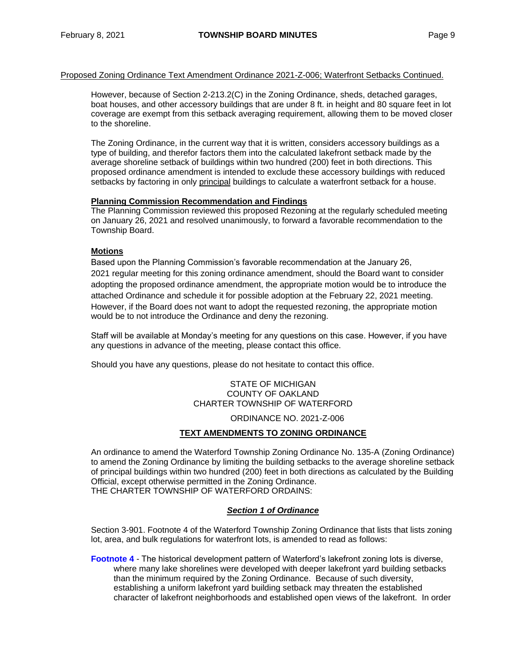# Proposed Zoning Ordinance Text Amendment Ordinance 2021-Z-006; Waterfront Setbacks Continued.

However, because of Section 2-213.2(C) in the Zoning Ordinance, sheds, detached garages, boat houses, and other accessory buildings that are under 8 ft. in height and 80 square feet in lot coverage are exempt from this setback averaging requirement, allowing them to be moved closer to the shoreline.

The Zoning Ordinance, in the current way that it is written, considers accessory buildings as a type of building, and therefor factors them into the calculated lakefront setback made by the average shoreline setback of buildings within two hundred (200) feet in both directions. This proposed ordinance amendment is intended to exclude these accessory buildings with reduced setbacks by factoring in only principal buildings to calculate a waterfront setback for a house.

# **Planning Commission Recommendation and Findings**

The Planning Commission reviewed this proposed Rezoning at the regularly scheduled meeting on January 26, 2021 and resolved unanimously, to forward a favorable recommendation to the Township Board.

# **Motions**

Based upon the Planning Commission's favorable recommendation at the January 26, 2021 regular meeting for this zoning ordinance amendment, should the Board want to consider adopting the proposed ordinance amendment, the appropriate motion would be to introduce the attached Ordinance and schedule it for possible adoption at the February 22, 2021 meeting. However, if the Board does not want to adopt the requested rezoning, the appropriate motion would be to not introduce the Ordinance and deny the rezoning.

Staff will be available at Monday's meeting for any questions on this case. However, if you have any questions in advance of the meeting, please contact this office.

Should you have any questions, please do not hesitate to contact this office.

STATE OF MICHIGAN COUNTY OF OAKLAND CHARTER TOWNSHIP OF WATERFORD

ORDINANCE NO. 2021-Z-006

# **TEXT AMENDMENTS TO ZONING ORDINANCE**

An ordinance to amend the Waterford Township Zoning Ordinance No. 135-A (Zoning Ordinance) to amend the Zoning Ordinance by limiting the building setbacks to the average shoreline setback of principal buildings within two hundred (200) feet in both directions as calculated by the Building Official, except otherwise permitted in the Zoning Ordinance. THE CHARTER TOWNSHIP OF WATERFORD ORDAINS:

#### *Section 1 of Ordinance*

Section 3-901. Footnote 4 of the Waterford Township Zoning Ordinance that lists that lists zoning lot, area, and bulk regulations for waterfront lots, is amended to read as follows:

**Footnote 4** *-* The historical development pattern of Waterford's lakefront zoning lots is diverse, where many lake shorelines were developed with deeper lakefront yard building setbacks than the minimum required by the Zoning Ordinance. Because of such diversity, establishing a uniform lakefront yard building setback may threaten the established character of lakefront neighborhoods and established open views of the lakefront. In order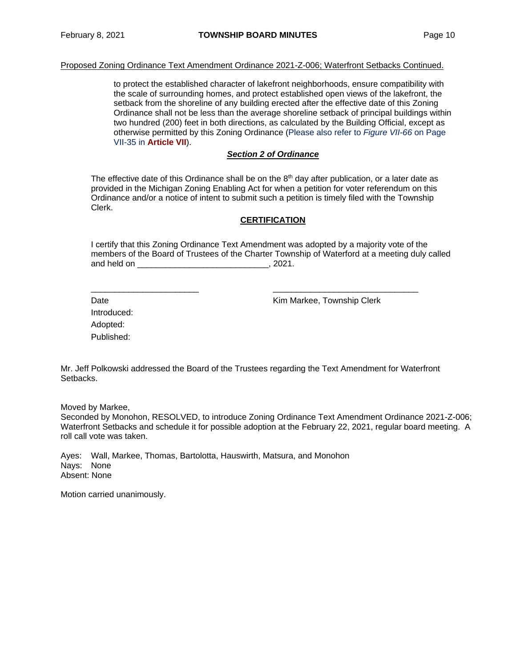# Proposed Zoning Ordinance Text Amendment Ordinance 2021-Z-006; Waterfront Setbacks Continued.

to protect the established character of lakefront neighborhoods, ensure compatibility with the scale of surrounding homes, and protect established open views of the lakefront, the setback from the shoreline of any building erected after the effective date of this Zoning Ordinance shall not be less than the average shoreline setback of principal buildings within two hundred (200) feet in both directions, as calculated by the Building Official, except as otherwise permitted by this Zoning Ordinance (Please also refer to *Figure VII-66* on Page VII-35 in **Article VII**).

#### *Section 2 of Ordinance*

The effective date of this Ordinance shall be on the  $8<sup>th</sup>$  day after publication, or a later date as provided in the Michigan Zoning Enabling Act for when a petition for voter referendum on this Ordinance and/or a notice of intent to submit such a petition is timely filed with the Township Clerk.

#### **CERTIFICATION**

I certify that this Zoning Ordinance Text Amendment was adopted by a majority vote of the members of the Board of Trustees of the Charter Township of Waterford at a meeting duly called and held on \_\_\_\_\_\_\_\_\_\_\_\_\_\_\_\_\_\_\_\_\_\_\_\_\_\_\_\_\_\_\_\_\_\_, 2021.

Date **Date Contract Contract Contract Contract Contract Contract Contract Contract Contract Contract Contract Contract Contract Contract Contract Contract Contract Contract Contract Contract Contract Contract Contract Co** 

Introduced: Adopted: Published:

Mr. Jeff Polkowski addressed the Board of the Trustees regarding the Text Amendment for Waterfront Setbacks.

\_\_\_\_\_\_\_\_\_\_\_\_\_\_\_\_\_\_\_\_\_\_\_ \_\_\_\_\_\_\_\_\_\_\_\_\_\_\_\_\_\_\_\_\_\_\_\_\_\_\_\_\_\_\_

Moved by Markee,

Seconded by Monohon, RESOLVED, to introduce Zoning Ordinance Text Amendment Ordinance 2021-Z-006; Waterfront Setbacks and schedule it for possible adoption at the February 22, 2021, regular board meeting.A roll call vote was taken.

Ayes: Wall, Markee, Thomas, Bartolotta, Hauswirth, Matsura, and Monohon Nays: None Absent: None

Motion carried unanimously.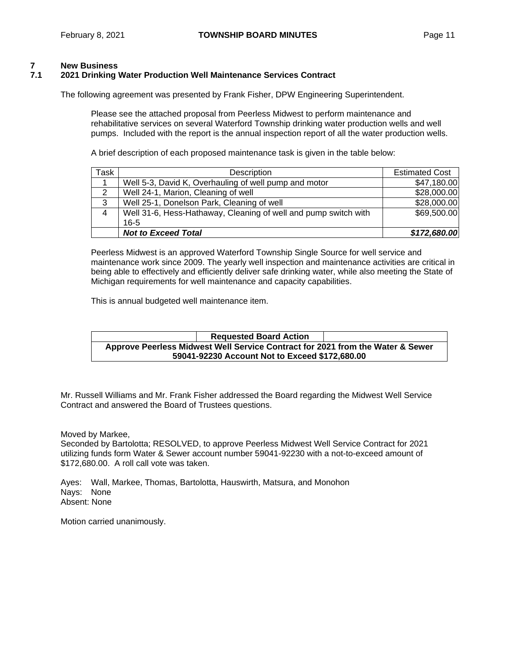# **7 New Business**

# **7.1 2021 Drinking Water Production Well Maintenance Services Contract**

The following agreement was presented by Frank Fisher, DPW Engineering Superintendent.

Please see the attached proposal from Peerless Midwest to perform maintenance and rehabilitative services on several Waterford Township drinking water production wells and well pumps. Included with the report is the annual inspection report of all the water production wells.

A brief description of each proposed maintenance task is given in the table below:

| Task           | Description                                                     | <b>Estimated Cost</b> |
|----------------|-----------------------------------------------------------------|-----------------------|
|                | Well 5-3, David K, Overhauling of well pump and motor           | \$47,180.00           |
| 2              | Well 24-1, Marion, Cleaning of well                             | \$28,000.00           |
| 3              | Well 25-1, Donelson Park, Cleaning of well                      | \$28,000.00           |
| $\overline{4}$ | Well 31-6, Hess-Hathaway, Cleaning of well and pump switch with | \$69,500.00           |
|                | $16 - 5$                                                        |                       |
|                | <b>Not to Exceed Total</b>                                      | \$172,680.00          |

Peerless Midwest is an approved Waterford Township Single Source for well service and maintenance work since 2009. The yearly well inspection and maintenance activities are critical in being able to effectively and efficiently deliver safe drinking water, while also meeting the State of Michigan requirements for well maintenance and capacity capabilities.

This is annual budgeted well maintenance item.

**Requested Board Action Approve Peerless Midwest Well Service Contract for 2021 from the Water & Sewer 59041-92230 Account Not to Exceed \$172,680.00**

Mr. Russell Williams and Mr. Frank Fisher addressed the Board regarding the Midwest Well Service Contract and answered the Board of Trustees questions.

Moved by Markee,

Seconded by Bartolotta; RESOLVED, to approve Peerless Midwest Well Service Contract for 2021 utilizing funds form Water & Sewer account number 59041-92230 with a not-to-exceed amount of \$172,680.00. A roll call vote was taken.

Ayes: Wall, Markee, Thomas, Bartolotta, Hauswirth, Matsura, and Monohon Nays: None Absent: None

Motion carried unanimously.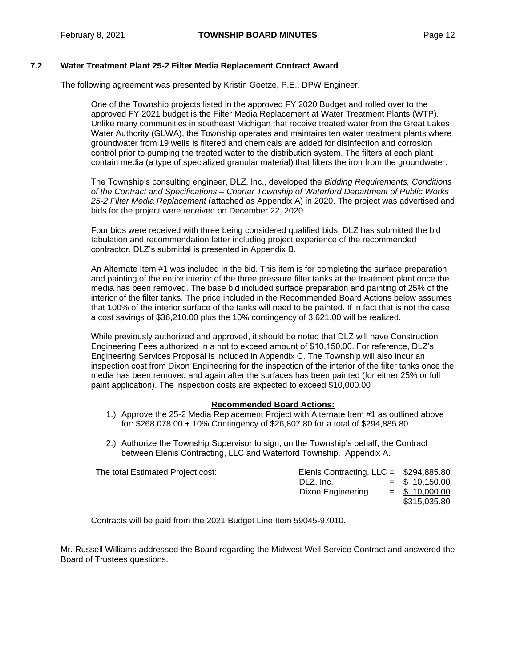# **7.2 Water Treatment Plant 25-2 Filter Media Replacement Contract Award**

The following agreement was presented by Kristin Goetze, P.E., DPW Engineer.

One of the Township projects listed in the approved FY 2020 Budget and rolled over to the approved FY 2021 budget is the Filter Media Replacement at Water Treatment Plants (WTP). Unlike many communities in southeast Michigan that receive treated water from the Great Lakes Water Authority (GLWA), the Township operates and maintains ten water treatment plants where groundwater from 19 wells is filtered and chemicals are added for disinfection and corrosion control prior to pumping the treated water to the distribution system. The filters at each plant contain media (a type of specialized granular material) that filters the iron from the groundwater.

The Township's consulting engineer, DLZ, Inc., developed the *Bidding Requirements, Conditions of the Contract and Specifications – Charter Township of Waterford Department of Public Works 25-2 Filter Media Replacement* (attached as Appendix A) in 2020. The project was advertised and bids for the project were received on December 22, 2020.

Four bids were received with three being considered qualified bids. DLZ has submitted the bid tabulation and recommendation letter including project experience of the recommended contractor. DLZ's submittal is presented in Appendix B.

An Alternate Item #1 was included in the bid. This item is for completing the surface preparation and painting of the entire interior of the three pressure filter tanks at the treatment plant once the media has been removed. The base bid included surface preparation and painting of 25% of the interior of the filter tanks. The price included in the Recommended Board Actions below assumes that 100% of the interior surface of the tanks will need to be painted. If in fact that is not the case a cost savings of \$36,210.00 plus the 10% contingency of 3,621.00 will be realized.

While previously authorized and approved, it should be noted that DLZ will have Construction Engineering Fees authorized in a not to exceed amount of \$10,150.00. For reference, DLZ's Engineering Services Proposal is included in Appendix C. The Township will also incur an inspection cost from Dixon Engineering for the inspection of the interior of the filter tanks once the media has been removed and again after the surfaces has been painted (for either 25% or full paint application). The inspection costs are expected to exceed \$10,000.00

#### **Recommended Board Actions:**

- 1.) Approve the 25-2 Media Replacement Project with Alternate Item #1 as outlined above for: \$268,078.00 + 10% Contingency of \$26,807.80 for a total of \$294,885.80.
- 2.) Authorize the Township Supervisor to sign, on the Township's behalf, the Contract between Elenis Contracting, LLC and Waterford Township. Appendix A.

| The total Estimated Project cost: | Elenis Contracting, $LLC = $294,885.80$<br>DLZ. Inc.<br>Dixon Engineering | $=$ \$ 10,150.00<br>$=$ \$ 10,000.00 |
|-----------------------------------|---------------------------------------------------------------------------|--------------------------------------|
|                                   |                                                                           | \$315,035.80                         |

Contracts will be paid from the 2021 Budget Line Item 59045-97010.

Mr. Russell Williams addressed the Board regarding the Midwest Well Service Contract and answered the Board of Trustees questions.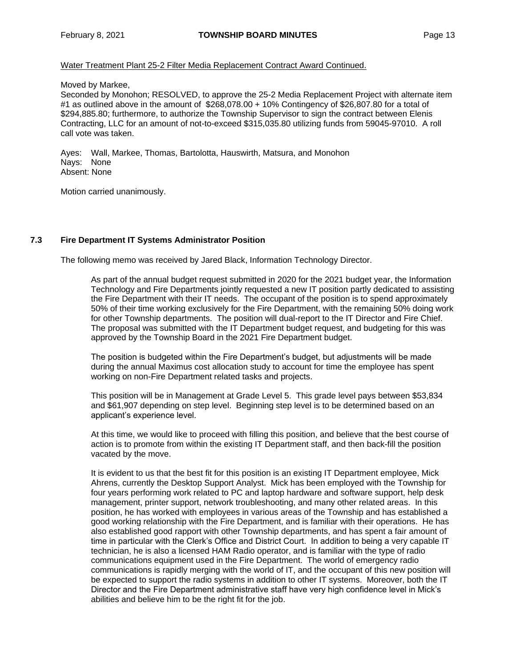Water Treatment Plant 25-2 Filter Media Replacement Contract Award Continued.

Moved by Markee,

Seconded by Monohon; RESOLVED, to approve the 25-2 Media Replacement Project with alternate item #1 as outlined above in the amount of \$268,078.00 + 10% Contingency of \$26,807.80 for a total of \$294,885.80; furthermore, to authorize the Township Supervisor to sign the contract between Elenis Contracting, LLC for an amount of not-to-exceed \$315,035.80 utilizing funds from 59045-97010. A roll call vote was taken.

Ayes: Wall, Markee, Thomas, Bartolotta, Hauswirth, Matsura, and Monohon Nays: None Absent: None

Motion carried unanimously.

# **7.3 Fire Department IT Systems Administrator Position**

The following memo was received by Jared Black, Information Technology Director.

As part of the annual budget request submitted in 2020 for the 2021 budget year, the Information Technology and Fire Departments jointly requested a new IT position partly dedicated to assisting the Fire Department with their IT needs. The occupant of the position is to spend approximately 50% of their time working exclusively for the Fire Department, with the remaining 50% doing work for other Township departments. The position will dual-report to the IT Director and Fire Chief. The proposal was submitted with the IT Department budget request, and budgeting for this was approved by the Township Board in the 2021 Fire Department budget.

The position is budgeted within the Fire Department's budget, but adjustments will be made during the annual Maximus cost allocation study to account for time the employee has spent working on non-Fire Department related tasks and projects.

This position will be in Management at Grade Level 5. This grade level pays between \$53,834 and \$61,907 depending on step level. Beginning step level is to be determined based on an applicant's experience level.

At this time, we would like to proceed with filling this position, and believe that the best course of action is to promote from within the existing IT Department staff, and then back-fill the position vacated by the move.

It is evident to us that the best fit for this position is an existing IT Department employee, Mick Ahrens, currently the Desktop Support Analyst. Mick has been employed with the Township for four years performing work related to PC and laptop hardware and software support, help desk management, printer support, network troubleshooting, and many other related areas. In this position, he has worked with employees in various areas of the Township and has established a good working relationship with the Fire Department, and is familiar with their operations. He has also established good rapport with other Township departments, and has spent a fair amount of time in particular with the Clerk's Office and District Court. In addition to being a very capable IT technician, he is also a licensed HAM Radio operator, and is familiar with the type of radio communications equipment used in the Fire Department. The world of emergency radio communications is rapidly merging with the world of IT, and the occupant of this new position will be expected to support the radio systems in addition to other IT systems. Moreover, both the IT Director and the Fire Department administrative staff have very high confidence level in Mick's abilities and believe him to be the right fit for the job.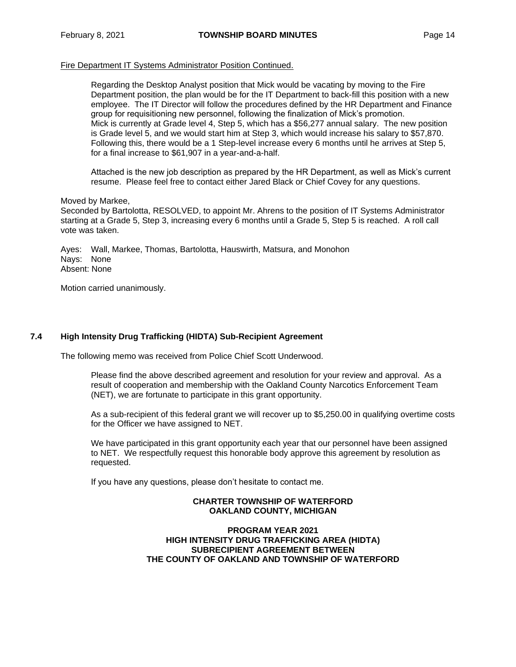## Fire Department IT Systems Administrator Position Continued.

Regarding the Desktop Analyst position that Mick would be vacating by moving to the Fire Department position, the plan would be for the IT Department to back-fill this position with a new employee. The IT Director will follow the procedures defined by the HR Department and Finance group for requisitioning new personnel, following the finalization of Mick's promotion. Mick is currently at Grade level 4, Step 5, which has a \$56,277 annual salary. The new position is Grade level 5, and we would start him at Step 3, which would increase his salary to \$57,870. Following this, there would be a 1 Step-level increase every 6 months until he arrives at Step 5, for a final increase to \$61,907 in a year-and-a-half.

Attached is the new job description as prepared by the HR Department, as well as Mick's current resume. Please feel free to contact either Jared Black or Chief Covey for any questions.

#### Moved by Markee,

Seconded by Bartolotta, RESOLVED, to appoint Mr. Ahrens to the position of IT Systems Administrator starting at a Grade 5, Step 3, increasing every 6 months until a Grade 5, Step 5 is reached. A roll call vote was taken.

Ayes: Wall, Markee, Thomas, Bartolotta, Hauswirth, Matsura, and Monohon Nays: None Absent: None

Motion carried unanimously.

#### **7.4 High Intensity Drug Trafficking (HIDTA) Sub-Recipient Agreement**

The following memo was received from Police Chief Scott Underwood.

Please find the above described agreement and resolution for your review and approval. As a result of cooperation and membership with the Oakland County Narcotics Enforcement Team (NET), we are fortunate to participate in this grant opportunity.

As a sub-recipient of this federal grant we will recover up to \$5,250.00 in qualifying overtime costs for the Officer we have assigned to NET.

We have participated in this grant opportunity each year that our personnel have been assigned to NET. We respectfully request this honorable body approve this agreement by resolution as requested.

If you have any questions, please don't hesitate to contact me.

# **CHARTER TOWNSHIP OF WATERFORD OAKLAND COUNTY, MICHIGAN**

**PROGRAM YEAR 2021 HIGH INTENSITY DRUG TRAFFICKING AREA (HIDTA) SUBRECIPIENT AGREEMENT BETWEEN THE COUNTY OF OAKLAND AND TOWNSHIP OF WATERFORD**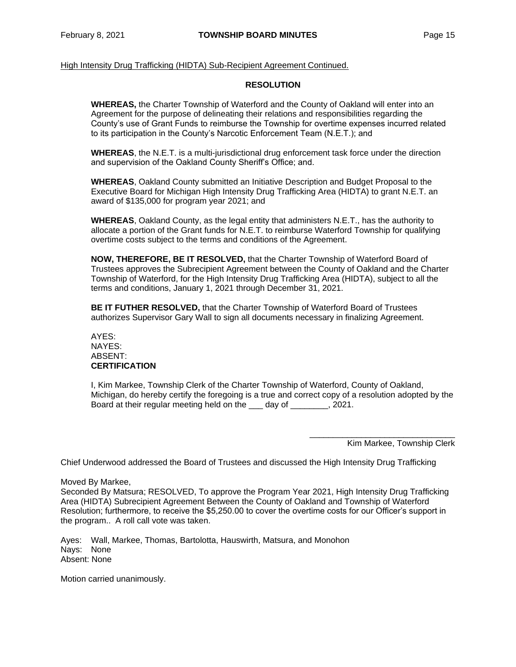High Intensity Drug Trafficking (HIDTA) Sub-Recipient Agreement Continued.

#### **RESOLUTION**

**WHEREAS,** the Charter Township of Waterford and the County of Oakland will enter into an Agreement for the purpose of delineating their relations and responsibilities regarding the County's use of Grant Funds to reimburse the Township for overtime expenses incurred related to its participation in the County's Narcotic Enforcement Team (N.E.T.); and

**WHEREAS**, the N.E.T. is a multi-jurisdictional drug enforcement task force under the direction and supervision of the Oakland County Sheriff's Office; and.

**WHEREAS**, Oakland County submitted an Initiative Description and Budget Proposal to the Executive Board for Michigan High Intensity Drug Trafficking Area (HIDTA) to grant N.E.T. an award of \$135,000 for program year 2021; and

**WHEREAS**, Oakland County, as the legal entity that administers N.E.T., has the authority to allocate a portion of the Grant funds for N.E.T. to reimburse Waterford Township for qualifying overtime costs subject to the terms and conditions of the Agreement.

**NOW, THEREFORE, BE IT RESOLVED,** that the Charter Township of Waterford Board of Trustees approves the Subrecipient Agreement between the County of Oakland and the Charter Township of Waterford, for the High Intensity Drug Trafficking Area (HIDTA), subject to all the terms and conditions, January 1, 2021 through December 31, 2021.

**BE IT FUTHER RESOLVED,** that the Charter Township of Waterford Board of Trustees authorizes Supervisor Gary Wall to sign all documents necessary in finalizing Agreement.

AYES: NAYES: ABSENT: **CERTIFICATION**

I, Kim Markee, Township Clerk of the Charter Township of Waterford, County of Oakland, Michigan, do hereby certify the foregoing is a true and correct copy of a resolution adopted by the Board at their regular meeting held on the \_\_\_ day of \_\_\_\_\_\_\_\_, 2021.

> \_\_\_\_\_\_\_\_\_\_\_\_\_\_\_\_\_\_\_\_\_\_\_\_\_\_\_\_\_\_\_ Kim Markee, Township Clerk

Chief Underwood addressed the Board of Trustees and discussed the High Intensity Drug Trafficking

Moved By Markee,

Seconded By Matsura; RESOLVED, To approve the Program Year 2021, High Intensity Drug Trafficking Area (HIDTA) Subrecipient Agreement Between the County of Oakland and Township of Waterford Resolution; furthermore, to receive the \$5,250.00 to cover the overtime costs for our Officer's support in the program.. A roll call vote was taken.

Ayes: Wall, Markee, Thomas, Bartolotta, Hauswirth, Matsura, and Monohon Nays: None Absent: None

Motion carried unanimously.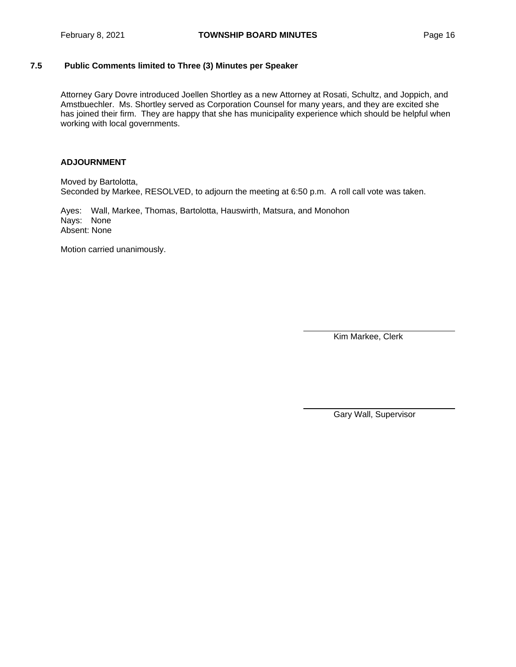# **7.5 Public Comments limited to Three (3) Minutes per Speaker**

Attorney Gary Dovre introduced Joellen Shortley as a new Attorney at Rosati, Schultz, and Joppich, and Amstbuechler. Ms. Shortley served as Corporation Counsel for many years, and they are excited she has joined their firm. They are happy that she has municipality experience which should be helpful when working with local governments.

# **ADJOURNMENT**

Moved by Bartolotta, Seconded by Markee, RESOLVED, to adjourn the meeting at 6:50 p.m. A roll call vote was taken.

Ayes: Wall, Markee, Thomas, Bartolotta, Hauswirth, Matsura, and Monohon Nays: None Absent: None

Motion carried unanimously.

Kim Markee, Clerk

Gary Wall, Supervisor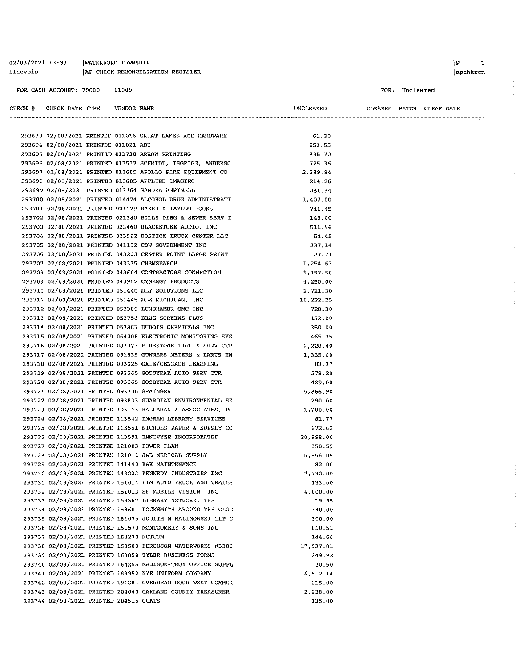| 02/03/2021 13:33 | WATERFORD TOWNSHIP               |
|------------------|----------------------------------|
| llievois         | AP CHECK RECONCILIATION REGISTER |

apchkrcn

#### FOR: Uncleared

| CHECK # CHECK DATE TYPE                   | VENDOR NAME |                                                            | UNCLEARED | CLEARED BATCH CLEAR DATE |  |  |
|-------------------------------------------|-------------|------------------------------------------------------------|-----------|--------------------------|--|--|
|                                           |             |                                                            |           |                          |  |  |
|                                           |             | 293693 02/08/2021 PRINTED 011016 GREAT LAKES ACE HARDWARE  | 61.30     |                          |  |  |
| 293694 02/08/2021 PRINTED 011021 ADI      |             |                                                            | 253.55    |                          |  |  |
|                                           |             | 293695 02/08/2021 PRINTED 011730 ARROW PRINTING            | 885.70    |                          |  |  |
|                                           |             | 293696 02/08/2021 PRINTED 013537 SCHMIDT, ISGRIGG, ANDERSO | 725.36    |                          |  |  |
|                                           |             | 293697 02/08/2021 PRINTED 013665 APOLLO FIRE EQUIPMENT CO  | 2,389.84  |                          |  |  |
|                                           |             | 293698 02/08/2021 PRINTED 013685 APPLIED IMAGING           | 214.26    |                          |  |  |
|                                           |             | 293699 02/08/2021 PRINTED 013764 SANDRA ASPINALL           | 281.34    |                          |  |  |
|                                           |             | 293700 02/08/2021 PRINTED 014474 ALCOHOL DRUG ADMINISTRATI | 1,407.00  |                          |  |  |
|                                           |             | 293701 02/08/2021 PRINTED 021079 BAKER & TAYLOR BOOKS      | 741.45    |                          |  |  |
|                                           |             | 293702 02/08/2021 PRINTED 021380 BILLS PLBG & SEWER SERV I | 148.00    |                          |  |  |
|                                           |             | 293703 02/08/2021 PRINTED 023460 BLACKSTONE AUDIO, INC     | 511.96    |                          |  |  |
|                                           |             | 293704 02/08/2021 PRINTED 023592 BOSTICK TRUCK CENTER LLC  | 54.45     |                          |  |  |
|                                           |             | 293705 02/08/2021 PRINTED 041192 CDW GOVERNMENT INC        | 337.14    |                          |  |  |
|                                           |             | 293706 02/08/2021 PRINTED 043202 CENTER POINT LARGE PRINT  | 27.71     |                          |  |  |
|                                           |             | 293707 02/08/2021 PRINTED 043335 CHEMSEARCH                | 1,254.63  |                          |  |  |
|                                           |             | 293708 02/08/2021 PRINTED 043604 CONTRACTORS CONNECTION    | 1,197.50  |                          |  |  |
|                                           |             | 293709 02/08/2021 PRINTED 043952 CYNERGY PRODUCTS          | 4,250.00  |                          |  |  |
|                                           |             | 293710 02/08/2021 PRINTED 051440 DLT SOLUTIONS LLC         | 2,721.30  |                          |  |  |
|                                           |             | 293711 02/08/2021 PRINTED 051445 DLZ MICHIGAN, INC         | 10,222.25 |                          |  |  |
|                                           |             | 293712 02/08/2021 PRINTED 053389 LUNGHAMER GMC INC         | 728.30    |                          |  |  |
|                                           |             | 293713 02/08/2021 PRINTED 053756 DRUG SCREENS PLUS         | 132.00    |                          |  |  |
|                                           |             | 293714 02/08/2021 PRINTED 053867 DUBOIS CHEMICALS INC      | 350.00    |                          |  |  |
|                                           |             | 293715 02/08/2021 PRINTED 064008 ELECTRONIC MONITORING SYS | 465.75    |                          |  |  |
|                                           |             | 293716 02/08/2021 PRINTED 083373 FIRESTONE TIRE & SERV CTR | 2,228.40  |                          |  |  |
|                                           |             | 293717 02/08/2021 PRINTED 091835 GUNNERS METERS & PARTS IN | 1,335.00  |                          |  |  |
|                                           |             | 293718 02/08/2021 PRINTED 093025 GALE/CENGAGE LEARNING     | 83.37     |                          |  |  |
|                                           |             | 293719 02/08/2021 PRINTED 093565 GOODYEAR AUTO SERV CTR    | 278.20    |                          |  |  |
|                                           |             | 293720 02/08/2021 PRINTED 093565 GOODYEAR AUTO SERV CTR    | 429.00    |                          |  |  |
| 293721 02/08/2021 PRINTED 093705 GRAINGER |             |                                                            | 5,866.90  |                          |  |  |
|                                           |             | 293722 02/08/2021 PRINTED 093833 GUARDIAN ENVIRONMENTAL SE | 290.00    |                          |  |  |
|                                           |             | 293723 02/08/2021 PRINTED 103143 HALLAHAN & ASSOCIATES, PC | 1,200.00  |                          |  |  |
|                                           |             | 293724 02/08/2021 PRINTED 113542 INGRAM LIBRARY SERVICES   | 81.77     |                          |  |  |
|                                           |             | 293725 02/08/2021 PRINTED 113551 NICHOLS PAPER & SUPPLY CO | 672.62    |                          |  |  |
|                                           |             | 293726 02/08/2021 PRINTED 113591 INNOVYZE INCORPORATED     | 20,998.00 |                          |  |  |
|                                           |             | 293727 02/08/2021 PRINTED 121003 POWER PLAN                | 150.59    |                          |  |  |
|                                           |             | 293728 02/08/2021 PRINTED 121011 J&B MEDICAL SUPPLY        | 5,856.05  |                          |  |  |
|                                           |             | 293729 02/08/2021 PRINTED 141440 K&K MAINTENANCE           | 82.00     |                          |  |  |
|                                           |             | 293730 02/08/2021 PRINTED 143233 KENNEDY INDUSTRIES INC    | 7.792.00  |                          |  |  |
|                                           |             | 293731 02/08/2021 PRINTED 151011 LTM AUTO TRUCK AND TRAILE | 133.00    |                          |  |  |
|                                           |             | 293732 02/08/2021 PRINTED 151013 SF MOBILE VISION, INC     | 4,000.00  |                          |  |  |
|                                           |             | 293733 02/08/2021 PRINTED 153367 LIBRARY NETWORK, THE      | 19.95     |                          |  |  |
|                                           |             | 293734 02/08/2021 PRINTED 153601 LOCKSMITH AROUND THE CLOC | 390.00    |                          |  |  |
|                                           |             | 293735 02/08/2021 PRINTED 161075 JUDITH M MALINOWSKI LLP C | 300.00    |                          |  |  |
|                                           |             | 293736 02/08/2021 PRINTED 161570 MONTGOMERY & SONS INC     | 810.51    |                          |  |  |
| 293737 02/08/2021 PRINTED 163270 METCOM   |             |                                                            | 144.66    |                          |  |  |
|                                           |             | 293738 02/08/2021 PRINTED 163508 FERGUSON WATERWORKS #3386 | 17,937.81 |                          |  |  |
|                                           |             | 293739 02/08/2021 PRINTED 163858 TYLER BUSINESS FORMS      | 249.92    |                          |  |  |
|                                           |             | 293740 02/08/2021 PRINTED 164255 MADISON-TROY OFFICE SUPPL | 30.50     |                          |  |  |
|                                           |             | 293741 02/08/2021 PRINTED 183952 NYE UNIFORM COMPANY       | 6,512.14  |                          |  |  |
|                                           |             | 293742 02/08/2021 PRINTED 191884 OVERHEAD DOOR WEST COMMER | 215.00    |                          |  |  |
|                                           |             | 293743 02/08/2021 PRINTED 204040 OAKLAND COUNTY TREASURER  | 2,238.00  |                          |  |  |
| 293744 02/08/2021 PRINTED 204515 OCATS    |             |                                                            | 125.00    |                          |  |  |

 $\sim 10^{-1}$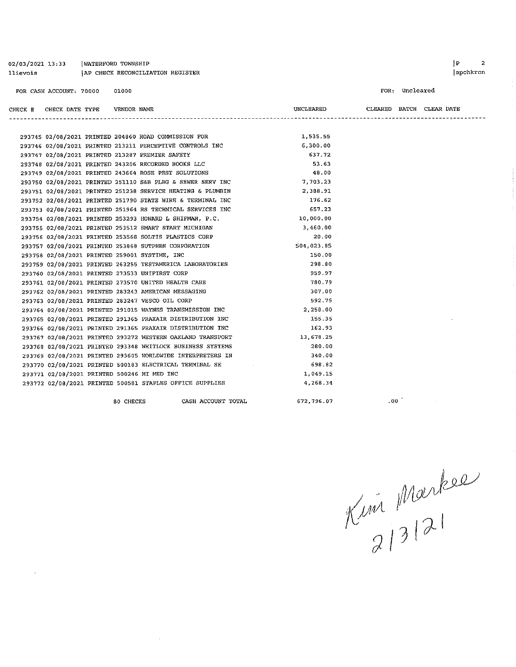| 02/03/2021 13:33<br>llievois |                         | WATERFORD TOWNSHIP |             | AP CHECK RECONCILIATION REGISTER                                     |                  |                          |                | ] P<br>2<br>apchkrcn |
|------------------------------|-------------------------|--------------------|-------------|----------------------------------------------------------------------|------------------|--------------------------|----------------|----------------------|
|                              | FOR CASH ACCOUNT: 70000 |                    | 01000       |                                                                      |                  |                          | FOR: Uncleared |                      |
| CHECK # CHECK DATE TYPE      |                         |                    | VENDOR NAME |                                                                      | <b>UNCLEARED</b> | CLEARED BATCH CLEAR DATE |                |                      |
|                              |                         |                    |             |                                                                      |                  |                          |                |                      |
|                              |                         |                    |             | 293745 02/08/2021 PRINTED 204860 ROAD COMMISSION FOR                 | 1,535.55         |                          |                |                      |
|                              |                         |                    |             | 293746 02/08/2021 PRINTED 213211 PERCEPTIVE CONTROLS INC             | 6,300.00         |                          |                |                      |
|                              |                         |                    |             | 293747 02/08/2021 PRINTED 213287 PREMIER SAFETY                      | 637.72           |                          |                |                      |
|                              |                         |                    |             | 293748 02/08/2021 PRINTED 243206 RECORDED BOOKS LLC                  | 53.63            |                          |                |                      |
|                              |                         |                    |             | 293749 02/08/2021 PRINTED 243664 ROSE PEST SOLUTIONS                 | 48.00            |                          |                |                      |
|                              |                         |                    |             | 293750 02/08/2021 PRINTED 251110 S&B PLBG & SEWER SERV INC           | 7,703.23         |                          |                |                      |
|                              |                         |                    |             | 293751 02/08/2021 PRINTED 251238 SERVICE HEATING & PLUMBIN           | 2,388.91         |                          |                |                      |
|                              |                         |                    |             | 293752 02/08/2021 PRINTED 251790 STATE WIRE & TERMINAL INC           | 176.62           |                          |                |                      |
|                              |                         |                    |             | 293753 02/08/2021 PRINTED 251964 RS TECHNICAL SERVICES INC           | 657.23           |                          |                |                      |
|                              |                         |                    |             | 293754 02/08/2021 PRINTED 253293 HOWARD L SHIFMAN, P.C. 10 10,000.00 |                  |                          |                |                      |
|                              |                         |                    |             | 293755 02/08/2021 PRINTED 253512 SMART START MICHIGAN                | 3,460.00         |                          |                |                      |
|                              |                         |                    |             | 293756 02/08/2021 PRINTED 253568 SOLTIS PLASTICS CORP                | 20.00            |                          |                |                      |
|                              |                         |                    |             | 293757 02/08/2021 PRINTED 253868 SUTPHEN CORPORATION                 | 504,023.85       |                          |                |                      |
|                              |                         |                    |             | 293758 02/08/2021 PRINTED 259001 SYSTIME, INC                        | 150.00           |                          |                |                      |
|                              |                         |                    |             | 293759 02/08/2021 PRINTED 263255 TESTAMERICA LABORATORIES            | 298.80           |                          |                |                      |
|                              |                         |                    |             | 293760 02/08/2021 PRINTED 273533 UNIFIRST CORP                       | 959.97           |                          |                |                      |
|                              |                         |                    |             | 293761 02/08/2021 PRINTED 273570 UNITED HEALTH CARE                  | 780.79           |                          |                |                      |
|                              |                         |                    |             | 293762 02/08/2021 PRINTED 283243 AMERICAN MESSAGING                  | 307.00           |                          |                |                      |
|                              |                         |                    |             | 293763 02/08/2021 PRINTED 283247 VESCO OIL CORP                      | 592.75           |                          |                |                      |
|                              |                         |                    |             | 293764 02/08/2021 PRINTED 291015 WAYNES TRANSMISSION INC             | 2,258.00         |                          |                |                      |
|                              |                         |                    |             | 293765 02/08/2021 PRINTED 291365 PRAXAIR DISTRIBUTION INC            | 155.35           |                          |                |                      |
|                              |                         |                    |             | 293766 02/08/2021 PRINTED 291365 PRAXAIR DISTRIBUTION INC            | 162.93           |                          |                |                      |
|                              |                         |                    |             | 293767 02/08/2021 PRINTED 293272 WESTERN OAKLAND TRANSPORT           | 13,678.25        |                          |                |                      |
|                              |                         |                    |             | 293768 02/08/2021 PRINTED 293348 WHITLOCK BUSINESS SYSTEMS           | 280.00           |                          |                |                      |
|                              |                         |                    |             | 293769 02/08/2021 PRINTED 293605 WORLDWIDE INTERPRETERS IN           | 340.00           |                          |                |                      |
|                              |                         |                    |             | 293770 02/08/2021 PRINTED 500183 ELECTRICAL TERMINAL SE              | 698.82           |                          |                |                      |
|                              |                         |                    |             | 293771 02/08/2021 PRINTED 500246 MI MED INC                          | 1,049.15         |                          |                |                      |
|                              |                         |                    |             | 293772 02/08/2021 PRINTED 500581 STAPLES OFFICE SUPPLIES             | 4,268.34         |                          |                |                      |

80 CHECKS

 $\bar{z}$ 

 $\sim 10$ 

CASH ACCOUNT TOTAL

672,796.07

 $100$  and  $100$ 

 $K^{\mu\nu}$  Markee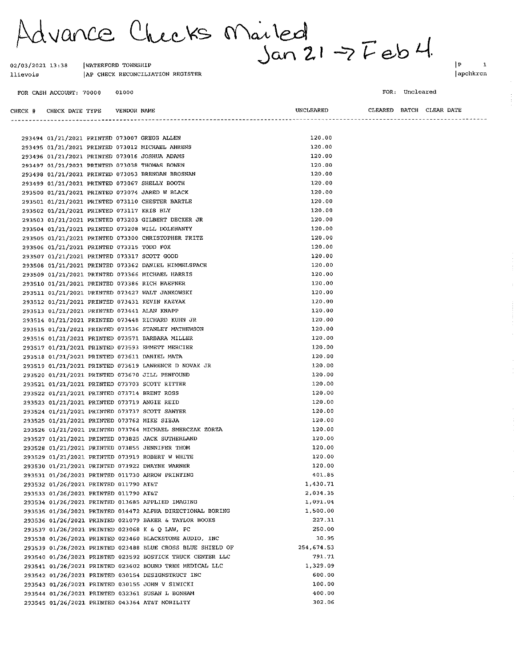Advance Checks Mailed<br>Jan 21-7 Feb 4

AP CHECK RECONCILIATION REGISTER

 $\boxed{\mathbf{P}}$  $\mathbf{1}$ apchkrcn

FOR CASH ACCOUNT: 70000 01000

02/03/2021 13:38

llievois

FOR: Uncleared

| CHECK # CHECK DATE TYPE VENDOR NAME         |  |                                                                                              | UNCLEARED        |  | CLEARED BATCH CLEAR DATE |
|---------------------------------------------|--|----------------------------------------------------------------------------------------------|------------------|--|--------------------------|
|                                             |  |                                                                                              |                  |  |                          |
|                                             |  |                                                                                              |                  |  |                          |
|                                             |  | 293494 01/21/2021 PRINTED 073007 GREGG ALLEN                                                 | 120.00           |  |                          |
|                                             |  | 293495 01/21/2021 PRINTED 073012 MICHAEL AHRENS                                              | 120.00           |  |                          |
|                                             |  | 293496 01/21/2021 PRINTED 073016 JOSHUA ADAMS                                                | 120.00           |  |                          |
|                                             |  | 293497 01/21/2021 PRINTED 073038 THOMAS BOWEN                                                | 120.00           |  |                          |
|                                             |  | 293498 01/21/2021 PRINTED 073053 BRENDAN BROSNAN                                             | 120.00           |  |                          |
|                                             |  | 293499 01/21/2021 PRINTED 073067 SHELLY BOOTH                                                | 120.00           |  |                          |
|                                             |  | 293500 01/21/2021 PRINTED 073074 JARED W BLACK                                               | 120.00           |  |                          |
|                                             |  | 293501 01/21/2021 PRINTED 073110 CHESTER BARTLE                                              | 120.00           |  |                          |
| 293502 01/21/2021 PRINTED 073117 KRIS BLY   |  |                                                                                              | 120.00           |  |                          |
|                                             |  | 293503 01/21/2021 PRINTED 073203 GILBERT DECKER JR                                           | 120.00           |  |                          |
|                                             |  | 293504 01/21/2021 PRINTED 073208 WILL DOLEHANTY                                              | 120.00           |  |                          |
|                                             |  | 293505 01/21/2021 PRINTED 073300 CHRISTOPHER FRITZ                                           | 120.00           |  |                          |
| 293506 01/21/2021 PRINTED 073315 TODD FOX   |  |                                                                                              | 120.00           |  |                          |
| 293507 01/21/2021 PRINTED 073317 SCOTT GOOD |  |                                                                                              | 120.00           |  |                          |
|                                             |  | 293508 01/21/2021 PRINTED 073362 DANIEL HIMMELSPACH                                          | 120.00           |  |                          |
|                                             |  | 293509 01/21/2021 PRINTED 073366 MICHAEL HARRIS                                              | 120.00           |  |                          |
|                                             |  | 293510 01/21/2021 PRINTED 073386 RICH HAEFNER                                                | 120.00           |  |                          |
|                                             |  | 293511 01/21/2021 PRINTED 073427 WALT JANKOWSKI                                              | 120.00           |  |                          |
|                                             |  | 293512 01/21/2021 PRINTED 073431 KEVIN KAZYAK                                                | 120.00           |  |                          |
|                                             |  | 293513 01/21/2021 PRINTED 073441 ALAN KNAPP                                                  | 120.00           |  |                          |
|                                             |  | 293514 01/21/2021 PRINTED 073448 RICHARD KUHN JR                                             | 120.00           |  |                          |
|                                             |  | 293515 01/21/2021 PRINTED 073536 STANLEY MATHEWSON                                           | 120.00           |  |                          |
|                                             |  | 293516 01/21/2021 PRINTED 073571 BARBARA MILLER                                              | 120.00           |  |                          |
|                                             |  | 293517 01/21/2021 PRINTED 073593 EMMETT MERCIER                                              | 120.00           |  |                          |
|                                             |  | 293518 01/21/2021 PRINTED 073611 DANIEL MATA                                                 | 120.00           |  |                          |
|                                             |  | 293519 01/21/2021 PRINTED 073619 LAWRENCE D NOVAK JR                                         | 120.00           |  |                          |
|                                             |  | 293520 01/21/2021 PRINTED 073670 JILL PENFOUND                                               | 120.00<br>120.00 |  |                          |
|                                             |  | 293521 01/21/2021 PRINTED 073703 SCOTT RITTER                                                | 120.00           |  |                          |
|                                             |  | 293522 01/21/2021 PRINTED 073714 BRENT ROSS                                                  | 120.00           |  |                          |
|                                             |  | 293523 01/21/2021 PRINTED 073719 ANGIE REID<br>293524 01/21/2021 PRINTED 073737 SCOTT SAWYER | 120.00           |  |                          |
|                                             |  | 293525 01/21/2021 PRINTED 073762 MIKE SIEJA                                                  | 120.00           |  |                          |
|                                             |  | 293526 01/21/2021 PRINTED 073764 MICHAEL SMERCZAK ZORZA                                      | 120.00           |  |                          |
|                                             |  | 293527 01/21/2021 PRINTED 073825 JACK SUTHERLAND                                             | 120.00           |  |                          |
|                                             |  | 293528 01/21/2021 PRINTED 073855 JENNIFER THOM                                               | 120.00           |  |                          |
|                                             |  | 293529 01/21/2021 PRINTED 073919 ROBERT W WHITE                                              | 120.00           |  |                          |
|                                             |  | 293530 01/21/2021 PRINTED 073922 DWAYNE WARNER                                               | 120.00           |  |                          |
|                                             |  | 293531 01/26/2021 PRINTED 011730 ARROW PRINTING                                              | 401.85           |  |                          |
| 293532 01/26/2021 PRINTED 011790 AT&T       |  |                                                                                              | 1.430.71         |  |                          |
| 293533 01/26/2021 PRINTED 011790 AT&T       |  |                                                                                              | 2,034.35         |  |                          |
|                                             |  | 293534 01/26/2021 PRINTED 013685 APPLIED IMAGING                                             | 1.091.04         |  |                          |
|                                             |  | 293535 01/26/2021 PRINTED 014472 ALPHA DIRECTIONAL BORING                                    | 1,500.00         |  |                          |
|                                             |  | 293536 01/26/2021 PRINTED 021079 BAKER & TAYLOR BOOKS                                        | 227.31           |  |                          |
|                                             |  | 293537 01/26/2021 PRINTED 023068 K & Q LAW, PC                                               | 250.00           |  |                          |
|                                             |  | 293538 01/26/2021 PRINTED 023460 BLACKSTONE AUDIO, INC                                       | 30.95            |  |                          |
|                                             |  | 293539 01/26/2021 PRINTED 023488 BLUE CROSS BLUE SHIELD OF                                   | 254, 674.53      |  |                          |
|                                             |  | 293540 01/26/2021 PRINTED 023592 BOSTICK TRUCK CENTER LLC                                    | 791.71           |  |                          |
|                                             |  | 293541 01/26/2021 PRINTED 023602 BOUND TREE MEDICAL LLC                                      | 1,329.09         |  |                          |
|                                             |  | 293542 01/26/2021 PRINTED 030154 DESIGNSTRUCT INC                                            | 600.00           |  |                          |
|                                             |  | 293543 01/26/2021 PRINTED 030155 JOHN V SIWICKI                                              | 100.00           |  |                          |
|                                             |  | 293544 01/26/2021 PRINTED 032361 SUSAN L BONHAM                                              | 400.00           |  |                          |
|                                             |  | 293545 01/26/2021 PRINTED 043364 AT&T MOBILITY                                               | 302.06           |  |                          |
|                                             |  |                                                                                              |                  |  |                          |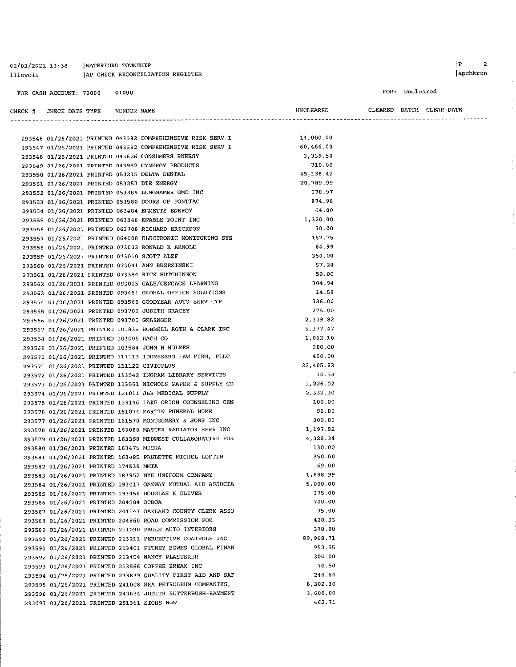| 02/03/2021 13:38 | WATERFORD TOWNSHIP                |
|------------------|-----------------------------------|
| llievois         | IAP CHECK RECONCILIATION REGISTER |

FOR CASH ACCOUNT: 70000 01000

CHECK #

-------

| ECK # | CHECK DATE TYPE VENDOR NAME                 |  |                                                            | UNCLEARED  |  | CLEARED BATCH CLEAR DATE |  |
|-------|---------------------------------------------|--|------------------------------------------------------------|------------|--|--------------------------|--|
|       |                                             |  | -----------------------------------                        |            |  |                          |  |
|       |                                             |  | 293546 01/26/2021 PRINTED 043582 COMPREHENSIVE RISK SERV I | 14,000.00  |  |                          |  |
|       |                                             |  | 293547 01/26/2021 PRINTED 043582 COMPREHENSIVE RISK SERV I | 60,486.00  |  |                          |  |
|       |                                             |  | 293548 01/26/2021 PRINTED 043626 CONSUMERS ENERGY          | 3,339.50   |  |                          |  |
|       |                                             |  | 293549 01/26/2021 PRINTED 043952 CYNERGY PRODUCTS          | 710.00     |  |                          |  |
|       |                                             |  | 293550 01/26/2021 PRINTED 053215 DELTA DENTAL              | 45, 138.42 |  |                          |  |
|       | 293551 01/26/2021 PRINTED 053253 DTE ENERGY |  |                                                            | 20,789.99  |  |                          |  |
|       |                                             |  | 293552 01/26/2021 PRINTED 053389 LUNGHAMER GMC INC         | 678.97     |  |                          |  |
|       |                                             |  | 293553 01/26/2021 PRINTED 053580 DOORS OF PONTIAC          | 874.98     |  |                          |  |
|       |                                             |  | 293554 01/26/2021 PRINTED 063484 EMMETTS ENERGY            | 64.00      |  |                          |  |
|       |                                             |  | 293555 01/26/2021 PRINTED 063546 ENABLE POINT INC          | 1,320.00   |  |                          |  |
|       |                                             |  | 293556 01/26/2021 PRINTED 063708 RICHARD ERICKSON          | 70.00      |  |                          |  |
|       |                                             |  | 293557 01/26/2021 PRINTED 064008 ELECTRONIC MONITORING SYS | 162.75     |  |                          |  |
|       |                                             |  | 293558 01/26/2021 PRINTED 073003 RONALD R ARNOLD           | 64.99      |  |                          |  |
|       | 293559 01/26/2021 PRINTED 073010 SCOTT ALEF |  |                                                            | 350.00     |  |                          |  |
|       |                                             |  | 293560 01/26/2021 PRINTED 073041 ANN BRZEZINSKI            | 57.24      |  |                          |  |
|       |                                             |  | 293561 01/26/2021 PRINTED 073384 RICK HUTCHINSON           | 50.00      |  |                          |  |
|       |                                             |  | 293562 01/26/2021 PRINTED 093025 GALE/CENGAGE LEARNING     | 304.94     |  |                          |  |
|       |                                             |  | 293563 01/26/2021 PRINTED 093451 GLOBAL OFFICE SOLUTIONS   | 14.58      |  |                          |  |
|       |                                             |  | 293564 01/26/2021 PRINTED 093565 GOODYEAR AUTO SERV CTR    | 336.00     |  |                          |  |
|       |                                             |  | 293565 01/26/2021 PRINTED 093702 JUDITH GRACEY             | 275.00     |  |                          |  |
|       | 293566 01/26/2021 PRINTED 093705 GRAINGER   |  |                                                            | 2 309.82   |  |                          |  |
|       |                                             |  | 293567 01/26/2021 PRINTED 101835 HUBBELL ROTH & CLARK INC  | 5,377.47   |  |                          |  |
|       | 293568 01/26/2021 PRINTED 103005 HACH CO    |  |                                                            | 1,062.10   |  |                          |  |
|       |                                             |  | 293569 01/26/2021 PRINTED 103584 JOHN H HOLMES             | 300.00     |  |                          |  |
|       |                                             |  | 293570 01/26/2021 PRINTED 111113 IDUMESARO LAW FIRM, PLLC  | 450.00     |  |                          |  |
|       | 293571 01/26/2021 PRINTED 111122 CIVICPLUS  |  |                                                            | 22, 405.83 |  |                          |  |
|       |                                             |  | 293572 01/26/2021 PRINTED 113542 INGRAM LIBRARY SERVICES   | 10.53      |  |                          |  |
|       |                                             |  | 293573 01/26/2021 PRINTED 113551 NICHOLS PAPER & SUPPLY CO | 1.226.02   |  |                          |  |
|       |                                             |  | 293574 01/26/2021 PRINTED 121011 J&B MEDICAL SUPPLY        | 2,332.30   |  |                          |  |
|       |                                             |  | 293575 01/26/2021 PRINTED 153146 LAKE ORION COUNSELING CEN | 100.00     |  |                          |  |
|       |                                             |  | 293576 01/26/2021 PRINTED 161074 MARTIN FUNERAL HOME       | 96.00      |  |                          |  |
|       |                                             |  | 293577 01/26/2021 PRINTED 161570 MONTGOMERY & SONS INC     | 300.00     |  |                          |  |
|       |                                             |  | 293578 01/26/2021 PRINTED 163088 MASTER RADIATOR SERV INC  | 1,197.92   |  |                          |  |
|       |                                             |  | 293579 01/26/2021 PRINTED 163368 MIDWEST COLLABORATIVE FOR | 4,328.34   |  |                          |  |
|       | 293580 01/26/2021 PRINTED 163475 MECRA      |  |                                                            | 130.00     |  |                          |  |
|       |                                             |  | 293581 01/26/2021 PRINTED 163485 PAULETTE MICHEL LOFTIN    | 350.00     |  |                          |  |
|       | 293582 01/26/2021 PRINTED 174535 MMTA       |  |                                                            | 69.00      |  |                          |  |
|       |                                             |  | 293583 01/26/2021 PRINTED 183952 NYE UNIFORM COMPANY       | 1,688.99   |  |                          |  |
|       |                                             |  | 293584 01/26/2021 PRINTED 193017 OAKWAY MUTUAL AID ASSOCIA | 5,000.00   |  |                          |  |
|       |                                             |  | 293585 01/26/2021 PRINTED 193456 DOUGLAS K OLIVER          | 375.00     |  |                          |  |
|       | 293586 01/26/2021 PRINTED 204504 OCBOA      |  |                                                            | 700.00     |  |                          |  |
|       |                                             |  | 293587 01/26/2021 PRINTED 204547 OAKLAND COUNTY CLERK ASSO | 75.00      |  |                          |  |
|       |                                             |  | 293588 01/26/2021 PRINTED 204860 ROAD COMMISSION FOR       | 420.33     |  |                          |  |
|       |                                             |  | 293589 01/26/2021 PRINTED 211090 PAULS AUTO INTERIORS      | 378.00     |  |                          |  |
|       |                                             |  | 293590 01/26/2021 PRINTED 213211 PERCEPTIVE CONTROLS INC   | 89,908.71  |  |                          |  |
|       |                                             |  | 293591 01/26/2021 PRINTED 213401 PITNEY BOWES GLOBAL FINAN | 953.55     |  |                          |  |
|       |                                             |  | 293592 01/26/2021 PRINTED 213454 NANCY PLASTERER           | 300.00     |  |                          |  |
|       |                                             |  | 293593 01/26/2021 PRINTED 213566 COFFEE BREAK INC          | 70.50      |  |                          |  |
|       |                                             |  | 293594 01/26/2021 PRINTED 233839 QUALITY FIRST AID AND SAF | 244.64     |  |                          |  |
|       |                                             |  | 293595 01/26/2021 PRINTED 241008 RKA PETROLEUM COMPANIES,  | 8,302.30   |  |                          |  |
|       |                                             |  | 293596 01/26/2021 PRINTED 243834 JUDITH RUTTERBUSH-RAYMENT | 3,600.00   |  |                          |  |
|       | 293597 01/26/2021 PRINTED 251361 SIGNS NOW  |  |                                                            | 462.71     |  |                          |  |

 $|P|$  $\bar{\bf 2}$ apchkrcn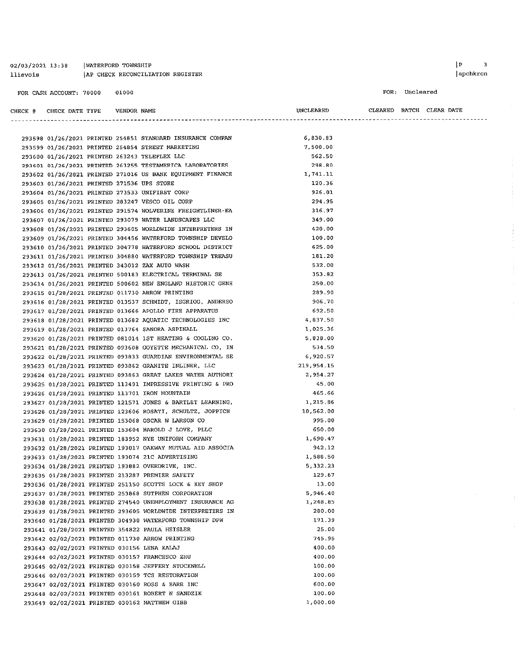| 02/03/2021 13:38 |                         | WATERFORD TOWNSHIP |             |                                   |           |         | İΡ        |            |          |  |
|------------------|-------------------------|--------------------|-------------|-----------------------------------|-----------|---------|-----------|------------|----------|--|
| llievois         |                         |                    |             | IAP CHECK RECONCILIATION REGISTER |           |         |           |            | apchkrcn |  |
|                  | FOR CASH ACCOUNT: 70000 |                    | 01000       |                                   |           | FOR:    | Uncleared |            |          |  |
| CHECK #          | CHECK DATE TYPE         |                    | VENDOR NAME |                                   | UNCLEARED | CLEARED | ВАТСН     | CLEAR DATE |          |  |

|                                            |  | 293598 01/26/2021 PRINTED 254851 STANDARD INSURANCE COMPAN | 6,830.83    |
|--------------------------------------------|--|------------------------------------------------------------|-------------|
|                                            |  | 293599 01/26/2021 PRINTED 254854 STREET MARKETING          | 7,500.00    |
|                                            |  | 293600 01/26/2021 PRINTED 263243 TELEFLEX LLC              | 562.50      |
|                                            |  | 293601 01/26/2021 PRINTED 263255 TESTAMERICA LABORATORIES  | 298.80      |
|                                            |  | 293602 01/26/2021 PRINTED 271016 US BANK EQUIPMENT FINANCE | 1,741.11    |
| 293603 01/26/2021 PRINTED 271536 UPS STORE |  |                                                            | 120.36      |
|                                            |  | 293604 01/26/2021 PRINTED 273533 UNIFIRST CORP             | 926.01      |
|                                            |  | 293605 01/26/2021 PRINTED 283247 VESCO OIL CORP            | 294.95      |
|                                            |  | 293606 01/26/2021 PRINTED 291574 WOLVERINE FREIGHTLINER-EA | 316.97      |
|                                            |  | 293607 01/26/2021 PRINTED 293079 WATER LANDSCAPES LLC      | 349.00      |
|                                            |  | 293608 01/26/2021 PRINTED 293605 WORLDWIDE INTERPRETERS IN | 420.00      |
|                                            |  | 293609 01/26/2021 PRINTED 304456 WATERFORD TOWNSHIP DEVELO | 100.00      |
|                                            |  | 293610 01/26/2021 PRINTED 304778 WATERFORD SCHOOL DISTRICT | 625.00      |
|                                            |  | 293611 01/26/2021 PRINTED 304880 WATERFORD TOWNSHIP TREASU | 181.20      |
|                                            |  | 293612 01/26/2021 PRINTED 343012 ZAX AUTO WASH             | 532.00      |
|                                            |  | 293613 01/26/2021 PRINTED 500183 ELECTRICAL TERMINAL SE    | 353.82      |
|                                            |  | 293614 01/26/2021 PRINTED 500602 NEW ENGLAND HISTORIC GENE | 250.00      |
|                                            |  | 293615 01/28/2021 PRINTED 011730 ARROW PRINTING            | 289.90      |
|                                            |  | 293616 01/28/2021 PRINTED 013537 SCHMIDT, ISGRIGG, ANDERSO | 906.70      |
|                                            |  | 293617 01/28/2021 PRINTED 013666 APOLLO FIRE APPARATUS     | 692.50      |
|                                            |  | 293618 01/28/2021 PRINTED 013682 AQUATIC TECHNOLOGIES INC  | 4,837.50    |
|                                            |  | 293619 01/28/2021 PRINTED 013764 SANDRA ASPINALL           | 1,025.36    |
|                                            |  | 293620 01/28/2021 PRINTED 081014 1ST HEATING & COOLING CO. | 5,838.00    |
|                                            |  | 293621 01/28/2021 PRINTED 093608 GOYETTE MECHANICAL CO, IN | 534.50      |
|                                            |  | 293622 01/28/2021 PRINTED 093833 GUARDIAN ENVIRONMENTAL SE | 6,920.57    |
|                                            |  | 293623 01/28/2021 PRINTED 093862 GRANITE INLINER, LLC      | 219, 954.15 |
|                                            |  | 293624 01/28/2021 PRINTED 093863 GREAT LAKES WATER AUTHORI | 2,954.27    |
|                                            |  | 293625 01/28/2021 PRINTED 113491 IMPRESSIVE PRINTING & PRO | 45.00       |
|                                            |  | 293626 01/28/2021 PRINTED 113701 IRON MOUNTAIN             | 465.66      |
|                                            |  | 293627 01/28/2021 PRINTED 121571 JONES & BARTLET LEARNING, | 1.215.86    |
|                                            |  | 293628 01/28/2021 PRINTED 123606 ROSATI, SCHULTZ, JOPPICH  | 10,562.00   |
|                                            |  | 293629 01/28/2021 PRINTED 153068 OSCAR W LARSON CO         | 995.00      |
|                                            |  | 293630 01/28/2021 PRINTED 153604 HAROLD J LOVE, PLLC       | 650.00      |
|                                            |  | 293631 01/28/2021 PRINTED 183952 NYE UNIFORM COMPANY       | 1,690.47    |
|                                            |  | 293632 01/28/2021 PRINTED 193017 OAKWAY MUTUAL AID ASSOCIA | 942.12      |
|                                            |  | 293633 01/28/2021 PRINTED 193074 21C ADVERTISING           | 1,588.50    |
|                                            |  | 293634 01/28/2021 PRINTED 193882 OVERDRIVE, INC.           | 5 332.23    |
|                                            |  | 293635 01/28/2021 PRINTED 213287 PREMIER SAFETY            | 129.67      |
|                                            |  | 293636 01/28/2021 PRINTED 251150 SCOTTS LOCK & KEY SHOP    | 13.00       |
|                                            |  | 293637 01/28/2021 PRINTED 253868 SUTPHEN CORPORATION       | 5,946.40    |
|                                            |  | 293638 01/28/2021 PRINTED 274540 UNEMPLOYMENT INSURANCE AG | 1.248.85    |
|                                            |  | 293639 01/28/2021 PRINTED 293605 WORLDWIDE INTERPRETERS IN | 280.00      |
|                                            |  | 293640 01/28/2021 PRINTED 304930 WATERFORD TOWNSHIP DPW    | 171.39      |
|                                            |  | 293641 01/28/2021 PRINTED 354822 PAULA HEISLER             | 25.00       |
|                                            |  | 293642 02/02/2021 PRINTED 011730 ARROW PRINTING            | 745.95      |
|                                            |  | 293643 02/02/2021 PRINTED 030156 LENA KALAJ                | 400.00      |
|                                            |  | 293644 02/02/2021 PRINTED 030157 FRANCESCO ZHU             | 400.00      |
|                                            |  | 293645 02/02/2021 PRINTED 030158 JEFFERY STOCKWELL         | 100.00      |
|                                            |  | 293646 02/02/2021 PRINTED 030159 TCS RESTORATION           | 100.00      |
|                                            |  | 293647 02/02/2021 PRINTED 030160 ROSS & BARR INC           | 600.00      |
|                                            |  | 293648 02/02/2021 PRINTED 030161 ROBERT N SANDZIK          | 100.00      |
|                                            |  | 293649 02/02/2021 PRINTED 030162 MATTHEW GIBB              | 1,000.00    |

# $\left| \begin{array}{ccc} p & 3 \\ \end{array} \right|$

 $\bar{z}$ 

#### cleared